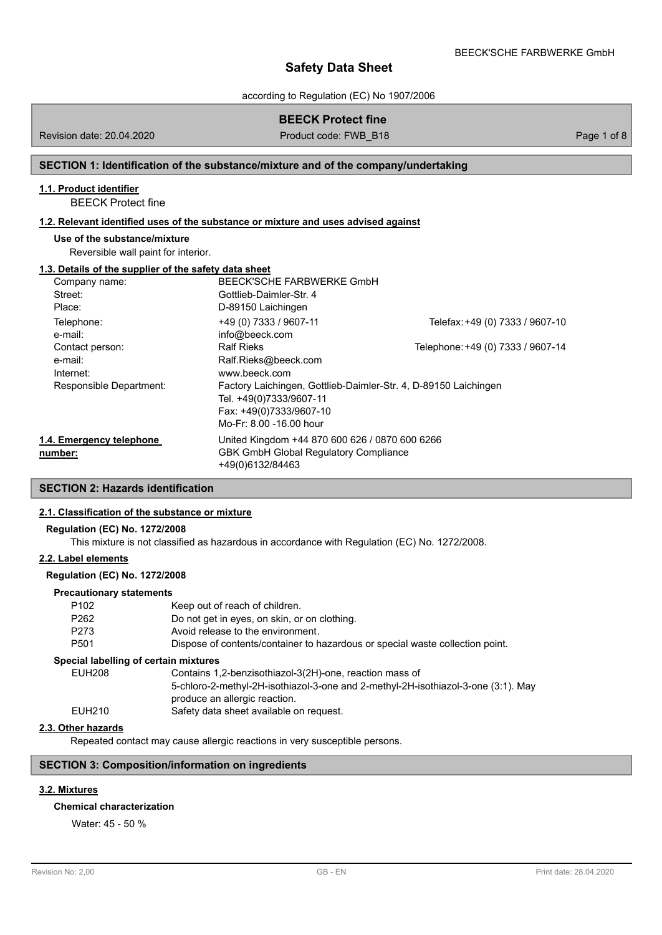according to Regulation (EC) No 1907/2006

## **BEECK Protect fine**

Revision date: 20.04.2020 Product code: FWB\_B18 Page 1 of 8

## **SECTION 1: Identification of the substance/mixture and of the company/undertaking**

## **1.1. Product identifier**

BEECK Protect fine

## **1.2. Relevant identified uses of the substance or mixture and uses advised against**

### **Use of the substance/mixture**

Reversible wall paint for interior.

### **1.3. Details of the supplier of the safety data sheet**

| Company name:            | BEECK'SCHE FARBWERKE GmbH                                       |                                   |
|--------------------------|-----------------------------------------------------------------|-----------------------------------|
| Street:                  | Gottlieb-Daimler-Str. 4                                         |                                   |
| Place:                   | D-89150 Laichingen                                              |                                   |
| Telephone:<br>e-mail:    | +49 (0) 7333 / 9607-11<br>info@beeck.com                        | Telefax: +49 (0) 7333 / 9607-10   |
| Contact person:          | <b>Ralf Rieks</b>                                               | Telephone: +49 (0) 7333 / 9607-14 |
| e-mail:                  | Ralf.Rieks@beeck.com                                            |                                   |
| Internet:                | www.beeck.com                                                   |                                   |
| Responsible Department:  | Factory Laichingen, Gottlieb-Daimler-Str. 4, D-89150 Laichingen |                                   |
|                          | Tel. +49(0)7333/9607-11                                         |                                   |
|                          | Fax: +49(0)7333/9607-10                                         |                                   |
|                          | Mo-Fr: 8.00 -16.00 hour                                         |                                   |
| 1.4. Emergency telephone | United Kingdom +44 870 600 626 / 0870 600 6266                  |                                   |
| number:                  | <b>GBK GmbH Global Requlatory Compliance</b>                    |                                   |
|                          | +49(0)6132/84463                                                |                                   |

## **SECTION 2: Hazards identification**

## **2.1. Classification of the substance or mixture**

## **Regulation (EC) No. 1272/2008**

This mixture is not classified as hazardous in accordance with Regulation (EC) No. 1272/2008.

## **2.2. Label elements**

## **Regulation (EC) No. 1272/2008**

### **Precautionary statements**

| P <sub>102</sub>                      | Keep out of reach of children.                                                                                     |
|---------------------------------------|--------------------------------------------------------------------------------------------------------------------|
| P <sub>262</sub>                      | Do not get in eyes, on skin, or on clothing.                                                                       |
| P273                                  | Avoid release to the environment.                                                                                  |
| P <sub>501</sub>                      | Dispose of contents/container to hazardous or special waste collection point.                                      |
| Special labelling of certain mixtures |                                                                                                                    |
| <b>EUH208</b>                         | Contains 1,2-benzisothiazol-3(2H)-one, reaction mass of                                                            |
|                                       | 5-chloro-2-methyl-2H-isothiazol-3-one and 2-methyl-2H-isothiazol-3-one (3:1). May<br>produce an allergic reaction. |
| EUH210                                | Safety data sheet available on request.                                                                            |
|                                       |                                                                                                                    |

## **2.3. Other hazards**

Repeated contact may cause allergic reactions in very susceptible persons.

## **SECTION 3: Composition/information on ingredients**

## **3.2. Mixtures**

### **Chemical characterization**

Water: 45 - 50 %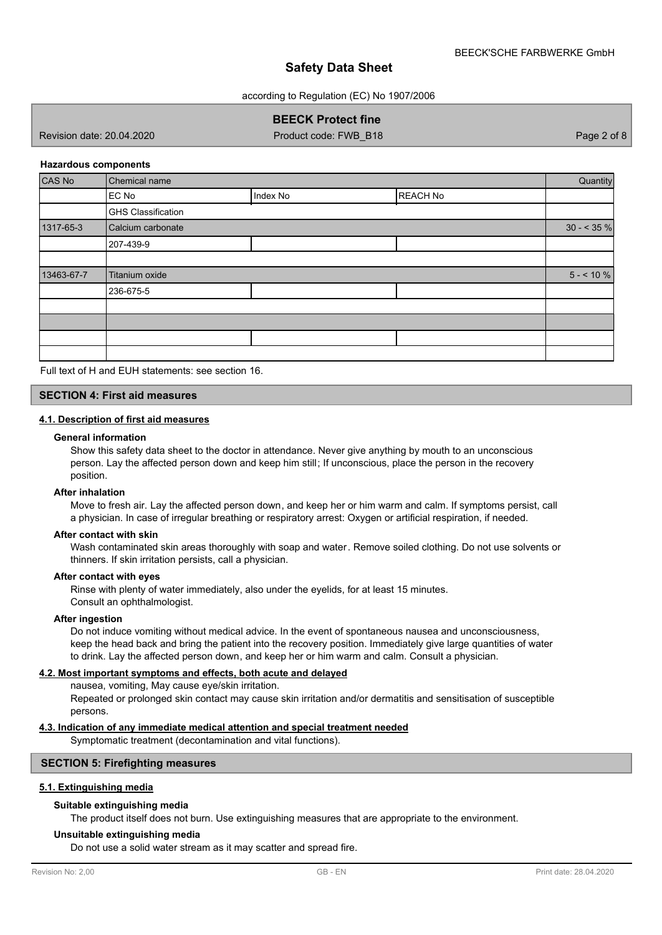according to Regulation (EC) No 1907/2006

## **BEECK Protect fine**

Revision date: 20.04.2020 Product code: FWB\_B18 Page 2 of 8

### **Hazardous components**

| CAS No     | Chemical name             |          |                 |             |
|------------|---------------------------|----------|-----------------|-------------|
|            | EC No                     | Index No | <b>REACH No</b> |             |
|            | <b>GHS Classification</b> |          |                 |             |
| 1317-65-3  | Calcium carbonate         |          |                 | $30 - 35\%$ |
|            | 207-439-9                 |          |                 |             |
|            |                           |          |                 |             |
| 13463-67-7 | Titanium oxide            |          |                 | $5 - 10 \%$ |
|            | 236-675-5                 |          |                 |             |
|            |                           |          |                 |             |
|            |                           |          |                 |             |
|            |                           |          |                 |             |
|            |                           |          |                 |             |

Full text of H and EUH statements: see section 16.

## **SECTION 4: First aid measures**

### **4.1. Description of first aid measures**

#### **General information**

Show this safety data sheet to the doctor in attendance. Never give anything by mouth to an unconscious person. Lay the affected person down and keep him still; If unconscious, place the person in the recovery position.

#### **After inhalation**

Move to fresh air. Lay the affected person down, and keep her or him warm and calm. If symptoms persist, call a physician. In case of irregular breathing or respiratory arrest: Oxygen or artificial respiration, if needed.

### **After contact with skin**

Wash contaminated skin areas thoroughly with soap and water. Remove soiled clothing. Do not use solvents or thinners. If skin irritation persists, call a physician.

#### **After contact with eyes**

Rinse with plenty of water immediately, also under the eyelids, for at least 15 minutes. Consult an ophthalmologist.

#### **After ingestion**

Do not induce vomiting without medical advice. In the event of spontaneous nausea and unconsciousness, keep the head back and bring the patient into the recovery position. Immediately give large quantities of water to drink. Lay the affected person down, and keep her or him warm and calm. Consult a physician.

### **4.2. Most important symptoms and effects, both acute and delayed**

nausea, vomiting, May cause eye/skin irritation.

Repeated or prolonged skin contact may cause skin irritation and/or dermatitis and sensitisation of susceptible persons.

### **4.3. Indication of any immediate medical attention and special treatment needed**

Symptomatic treatment (decontamination and vital functions).

### **SECTION 5: Firefighting measures**

### **5.1. Extinguishing media**

## **Suitable extinguishing media**

The product itself does not burn. Use extinguishing measures that are appropriate to the environment.

#### **Unsuitable extinguishing media**

Do not use a solid water stream as it may scatter and spread fire.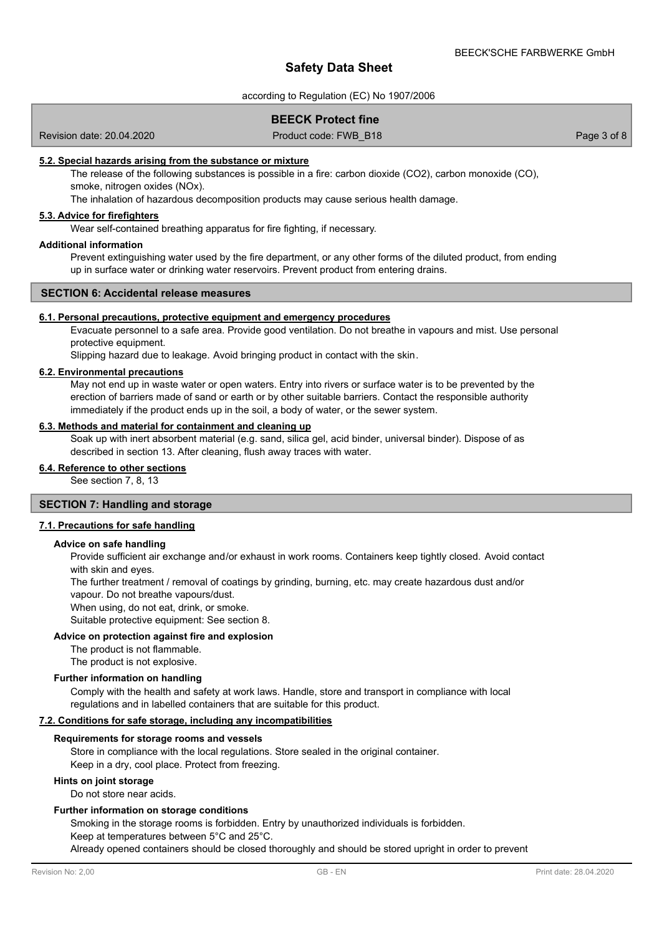according to Regulation (EC) No 1907/2006

## **BEECK Protect fine**

Revision date: 20.04.2020 **Product code: FWB\_B18** Page 3 of 8 Page 3 of 8

### **5.2. Special hazards arising from the substance or mixture**

The release of the following substances is possible in a fire: carbon dioxide (CO2), carbon monoxide (CO), smoke, nitrogen oxides (NOx).

The inhalation of hazardous decomposition products may cause serious health damage.

## **5.3. Advice for firefighters**

Wear self-contained breathing apparatus for fire fighting, if necessary.

### **Additional information**

Prevent extinguishing water used by the fire department, or any other forms of the diluted product, from ending up in surface water or drinking water reservoirs. Prevent product from entering drains.

### **SECTION 6: Accidental release measures**

#### **6.1. Personal precautions, protective equipment and emergency procedures**

Evacuate personnel to a safe area. Provide good ventilation. Do not breathe in vapours and mist. Use personal protective equipment.

Slipping hazard due to leakage. Avoid bringing product in contact with the skin.

### **6.2. Environmental precautions**

May not end up in waste water or open waters. Entry into rivers or surface water is to be prevented by the erection of barriers made of sand or earth or by other suitable barriers. Contact the responsible authority immediately if the product ends up in the soil, a body of water, or the sewer system.

## **6.3. Methods and material for containment and cleaning up**

Soak up with inert absorbent material (e.g. sand, silica gel, acid binder, universal binder). Dispose of as described in section 13. After cleaning, flush away traces with water.

## **6.4. Reference to other sections**

See section 7, 8, 13

## **SECTION 7: Handling and storage**

### **7.1. Precautions for safe handling**

#### **Advice on safe handling**

Provide sufficient air exchange and/or exhaust in work rooms. Containers keep tightly closed. Avoid contact with skin and eyes.

The further treatment / removal of coatings by grinding, burning, etc. may create hazardous dust and/or vapour. Do not breathe vapours/dust.

When using, do not eat, drink, or smoke.

Suitable protective equipment: See section 8.

#### **Advice on protection against fire and explosion**

The product is not flammable.

The product is not explosive.

### **Further information on handling**

Comply with the health and safety at work laws. Handle, store and transport in compliance with local regulations and in labelled containers that are suitable for this product.

### **7.2. Conditions for safe storage, including any incompatibilities**

#### **Requirements for storage rooms and vessels**

Store in compliance with the local regulations. Store sealed in the original container. Keep in a dry, cool place. Protect from freezing.

#### **Hints on joint storage**

Do not store near acids.

#### **Further information on storage conditions**

Smoking in the storage rooms is forbidden. Entry by unauthorized individuals is forbidden.

Keep at temperatures between 5°C and 25°C.

Already opened containers should be closed thoroughly and should be stored upright in order to prevent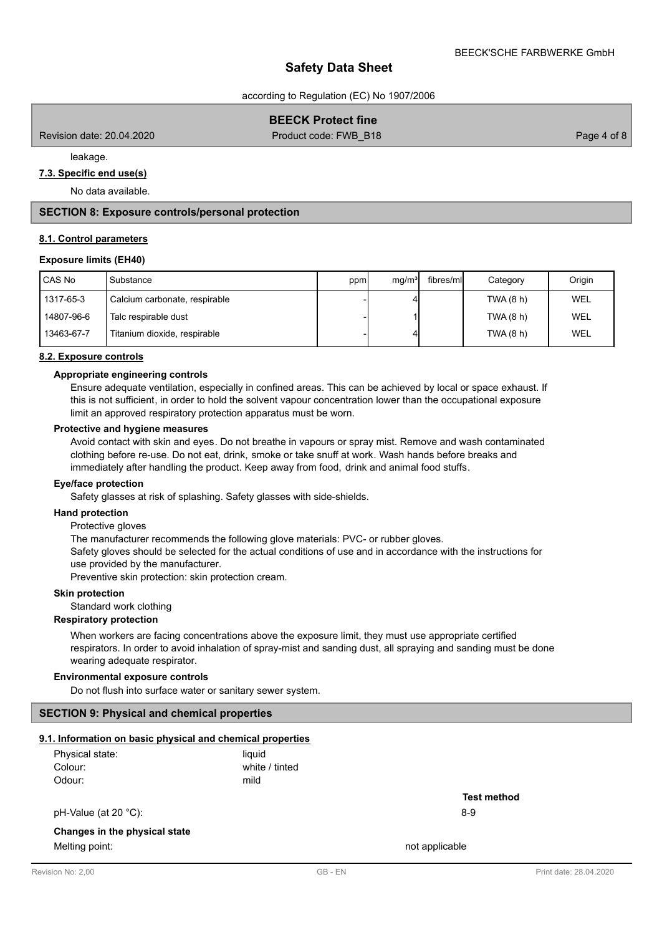according to Regulation (EC) No 1907/2006

## **BEECK Protect fine**

Revision date: 20.04.2020 **Product code: FWB\_B18** Page 4 of 8 Page 4 of 8

leakage.

## **7.3. Specific end use(s)**

No data available.

## **SECTION 8: Exposure controls/personal protection**

### **8.1. Control parameters**

### **Exposure limits (EH40)**

| CAS No     | Substance                     | ppm | mq/m <sup>3</sup> | fibres/mll | Category  | Origin     |
|------------|-------------------------------|-----|-------------------|------------|-----------|------------|
| 1317-65-3  | Calcium carbonate, respirable |     |                   |            | TWA (8 h) | WEL        |
| 14807-96-6 | Talc respirable dust          |     |                   |            | TWA (8 h) | <b>WEL</b> |
| 13463-67-7 | Titanium dioxide, respirable  |     |                   |            | TWA (8 h) | WEL        |

#### **8.2. Exposure controls**

### **Appropriate engineering controls**

Ensure adequate ventilation, especially in confined areas. This can be achieved by local or space exhaust. If this is not sufficient, in order to hold the solvent vapour concentration lower than the occupational exposure limit an approved respiratory protection apparatus must be worn.

### **Protective and hygiene measures**

Avoid contact with skin and eyes. Do not breathe in vapours or spray mist. Remove and wash contaminated clothing before re-use. Do not eat, drink, smoke or take snuff at work. Wash hands before breaks and immediately after handling the product. Keep away from food, drink and animal food stuffs.

#### **Eye/face protection**

Safety glasses at risk of splashing. Safety glasses with side-shields.

#### **Hand protection**

Protective gloves

The manufacturer recommends the following glove materials: PVC- or rubber gloves.

Safety gloves should be selected for the actual conditions of use and in accordance with the instructions for use provided by the manufacturer.

Preventive skin protection: skin protection cream.

## **Skin protection**

Standard work clothing

#### **Respiratory protection**

When workers are facing concentrations above the exposure limit, they must use appropriate certified respirators. In order to avoid inhalation of spray-mist and sanding dust, all spraying and sanding must be done wearing adequate respirator.

### **Environmental exposure controls**

Do not flush into surface water or sanitary sewer system.

### **SECTION 9: Physical and chemical properties**

## **9.1. Information on basic physical and chemical properties**

| Physical state: | liauid         |
|-----------------|----------------|
| Colour:         | white / tinted |
| Odour:          | mild           |

pH-Value (at 20 °C): 8-9

## **Changes in the physical state**

Melting point: not applicable that the matrix of the matrix  $\sim$  not applicable

**Test method**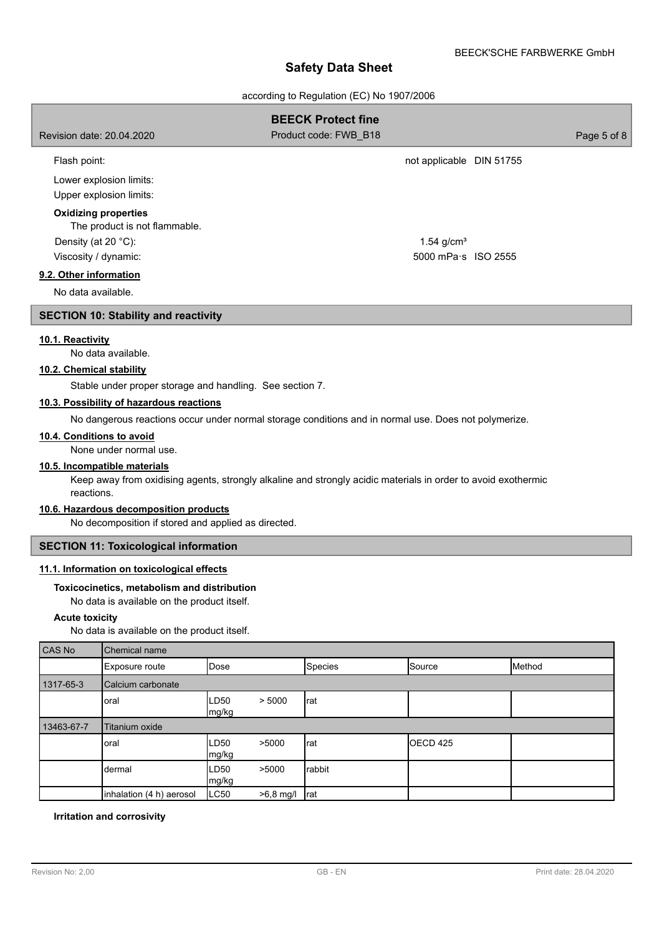| Salety Data Sileet                                                                                                                       |                                                                                                               |             |  |  |  |  |
|------------------------------------------------------------------------------------------------------------------------------------------|---------------------------------------------------------------------------------------------------------------|-------------|--|--|--|--|
| according to Regulation (EC) No 1907/2006                                                                                                |                                                                                                               |             |  |  |  |  |
| <b>BEECK Protect fine</b>                                                                                                                |                                                                                                               |             |  |  |  |  |
| Revision date: 20.04.2020                                                                                                                | Product code: FWB B18                                                                                         | Page 5 of 8 |  |  |  |  |
| Flash point:                                                                                                                             | not applicable DIN 51755                                                                                      |             |  |  |  |  |
| Lower explosion limits:<br>Upper explosion limits:                                                                                       |                                                                                                               |             |  |  |  |  |
| <b>Oxidizing properties</b><br>The product is not flammable.                                                                             |                                                                                                               |             |  |  |  |  |
| Density (at 20 °C):                                                                                                                      | $1.54$ g/cm <sup>3</sup>                                                                                      |             |  |  |  |  |
| Viscosity / dynamic:                                                                                                                     | 5000 mPa s ISO 2555                                                                                           |             |  |  |  |  |
| 9.2. Other information                                                                                                                   |                                                                                                               |             |  |  |  |  |
| No data available.                                                                                                                       |                                                                                                               |             |  |  |  |  |
| <b>SECTION 10: Stability and reactivity</b>                                                                                              |                                                                                                               |             |  |  |  |  |
| 10.1. Reactivity<br>No data available.<br>10.2. Chemical stability                                                                       |                                                                                                               |             |  |  |  |  |
| Stable under proper storage and handling. See section 7.                                                                                 |                                                                                                               |             |  |  |  |  |
| 10.3. Possibility of hazardous reactions                                                                                                 | No dangerous reactions occur under normal storage conditions and in normal use. Does not polymerize.          |             |  |  |  |  |
| 10.4. Conditions to avoid<br>None under normal use.                                                                                      |                                                                                                               |             |  |  |  |  |
| 10.5. Incompatible materials<br>reactions.                                                                                               | Keep away from oxidising agents, strongly alkaline and strongly acidic materials in order to avoid exothermic |             |  |  |  |  |
| 10.6. Hazardous decomposition products<br>No decomposition if stored and applied as directed.                                            |                                                                                                               |             |  |  |  |  |
| <b>SECTION 11: Toxicological information</b>                                                                                             |                                                                                                               |             |  |  |  |  |
| 11.1. Information on toxicological effects<br>Toxicocinetics, metabolism and distribution<br>No data is available on the product itself. |                                                                                                               |             |  |  |  |  |

## **Acute toxicity**

No data is available on the product itself.

| CAS No     | Chemical name            |               |             |                |                     |        |  |  |
|------------|--------------------------|---------------|-------------|----------------|---------------------|--------|--|--|
|            | Exposure route           | Dose          |             | <b>Species</b> | Source              | Method |  |  |
| 1317-65-3  | Calcium carbonate        |               |             |                |                     |        |  |  |
|            | oral                     | LD50<br>mg/kg | > 5000      | rat            |                     |        |  |  |
| 13463-67-7 | Titanium oxide           |               |             |                |                     |        |  |  |
|            | oral                     | LD50<br>mg/kg | >5000       | rat            | OECD <sub>425</sub> |        |  |  |
|            | dermal                   | LD50<br>mg/kg | >5000       | rabbit         |                     |        |  |  |
|            | inhalation (4 h) aerosol | LC50          | $>6,8$ mg/l | rat            |                     |        |  |  |

## **Irritation and corrosivity**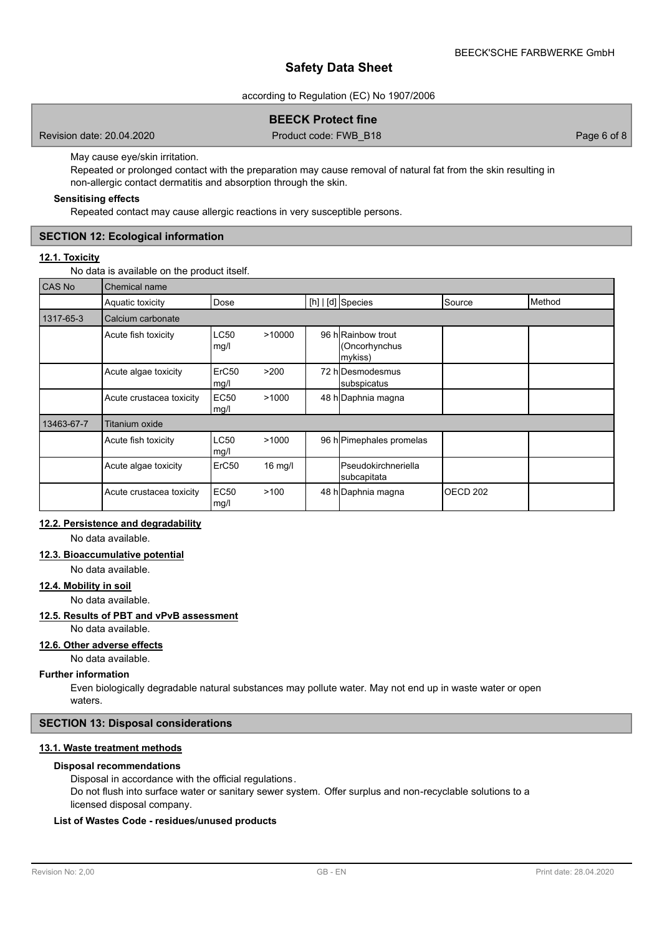according to Regulation (EC) No 1907/2006

## **BEECK Protect fine**

Revision date: 20.04.2020 Product code: FWB\_B18 Page 6 of 8

May cause eye/skin irritation.

Repeated or prolonged contact with the preparation may cause removal of natural fat from the skin resulting in non-allergic contact dermatitis and absorption through the skin.

## **Sensitising effects**

Repeated contact may cause allergic reactions in very susceptible persons.

## **SECTION 12: Ecological information**

## **12.1. Toxicity**

No data is available on the product itself.

| <b>CAS No</b> | Chemical name            |                           |           |  |                                                |                     |        |  |
|---------------|--------------------------|---------------------------|-----------|--|------------------------------------------------|---------------------|--------|--|
|               | Aquatic toxicity         | Dose                      |           |  | [h]   [d] Species                              | Source              | Method |  |
| 1317-65-3     | Calcium carbonate        |                           |           |  |                                                |                     |        |  |
|               | Acute fish toxicity      | LC50<br>mg/l              | >10000    |  | 96 h Rainbow trout<br>(Oncorhynchus<br>mykiss) |                     |        |  |
|               | Acute algae toxicity     | ErC <sub>50</sub><br>mg/l | >200      |  | 72 hIDesmodesmus<br>subspicatus                |                     |        |  |
|               | Acute crustacea toxicity | <b>EC50</b><br>mg/l       | >1000     |  | 48 h Daphnia magna                             |                     |        |  |
| 13463-67-7    | <b>Titanium oxide</b>    |                           |           |  |                                                |                     |        |  |
|               | Acute fish toxicity      | <b>LC50</b><br>mg/l       | >1000     |  | 96 h Pimephales promelas                       |                     |        |  |
|               | Acute algae toxicity     | ErC <sub>50</sub>         | $16$ mg/l |  | <b>I</b> Pseudokirchneriella<br>subcapitata    |                     |        |  |
|               | Acute crustacea toxicity | <b>EC50</b><br>mg/l       | >100      |  | 48 h Daphnia magna                             | OECD <sub>202</sub> |        |  |

## **12.2. Persistence and degradability**

No data available.

### **12.3. Bioaccumulative potential**

No data available.

## **12.4. Mobility in soil**

No data available.

### **12.5. Results of PBT and vPvB assessment**

No data available.

## **12.6. Other adverse effects**

No data available.

#### **Further information**

Even biologically degradable natural substances may pollute water. May not end up in waste water or open waters.

### **SECTION 13: Disposal considerations**

## **13.1. Waste treatment methods**

## **Disposal recommendations**

Disposal in accordance with the official regulations.

Do not flush into surface water or sanitary sewer system. Offer surplus and non-recyclable solutions to a licensed disposal company.

## **List of Wastes Code - residues/unused products**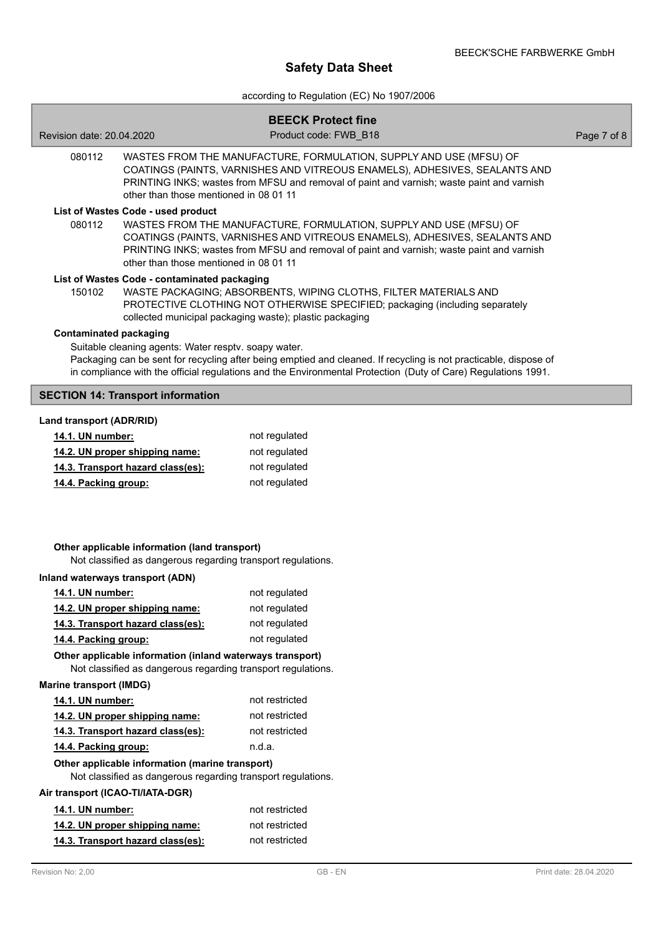according to Regulation (EC) No 1907/2006

|                                                                                                                           | <b>BEECK Protect fine</b>                                                                                                                                                                                                                     |             |
|---------------------------------------------------------------------------------------------------------------------------|-----------------------------------------------------------------------------------------------------------------------------------------------------------------------------------------------------------------------------------------------|-------------|
| Revision date: 20.04.2020                                                                                                 | Product code: FWB B18                                                                                                                                                                                                                         | Page 7 of 8 |
| 080112<br>other than those mentioned in 08 01 11                                                                          | WASTES FROM THE MANUFACTURE, FORMULATION, SUPPLY AND USE (MFSU) OF<br>COATINGS (PAINTS, VARNISHES AND VITREOUS ENAMELS), ADHESIVES, SEALANTS AND<br>PRINTING INKS; wastes from MFSU and removal of paint and varnish; waste paint and varnish |             |
| List of Wastes Code - used product<br>080112<br>other than those mentioned in 08 01 11                                    | WASTES FROM THE MANUFACTURE, FORMULATION, SUPPLY AND USE (MFSU) OF<br>COATINGS (PAINTS, VARNISHES AND VITREOUS ENAMELS), ADHESIVES, SEALANTS AND<br>PRINTING INKS; wastes from MFSU and removal of paint and varnish; waste paint and varnish |             |
| List of Wastes Code - contaminated packaging<br>150102                                                                    | WASTE PACKAGING; ABSORBENTS, WIPING CLOTHS, FILTER MATERIALS AND<br>PROTECTIVE CLOTHING NOT OTHERWISE SPECIFIED; packaging (including separately<br>collected municipal packaging waste); plastic packaging                                   |             |
| <b>Contaminated packaging</b><br>Suitable cleaning agents: Water resptv. soapy water.                                     | Packaging can be sent for recycling after being emptied and cleaned. If recycling is not practicable, dispose of<br>in compliance with the official regulations and the Environmental Protection (Duty of Care) Regulations 1991.             |             |
| <b>SECTION 14: Transport information</b>                                                                                  |                                                                                                                                                                                                                                               |             |
| Land transport (ADR/RID)                                                                                                  |                                                                                                                                                                                                                                               |             |
| 14.1. UN number:                                                                                                          | not regulated                                                                                                                                                                                                                                 |             |
| 14.2. UN proper shipping name:                                                                                            | not regulated                                                                                                                                                                                                                                 |             |
| 14.3. Transport hazard class(es):                                                                                         | not regulated                                                                                                                                                                                                                                 |             |
| 14.4. Packing group:                                                                                                      | not regulated                                                                                                                                                                                                                                 |             |
| Other applicable information (land transport)<br>Not classified as dangerous regarding transport regulations.             |                                                                                                                                                                                                                                               |             |
| Inland waterways transport (ADN)                                                                                          |                                                                                                                                                                                                                                               |             |
| 14.1. UN number:                                                                                                          | not regulated                                                                                                                                                                                                                                 |             |
| 14.2. UN proper shipping name:                                                                                            | not regulated                                                                                                                                                                                                                                 |             |
| 14.3. Transport hazard class(es):                                                                                         | not regulated                                                                                                                                                                                                                                 |             |
| 14.4. Packing group:                                                                                                      | not regulated                                                                                                                                                                                                                                 |             |
| Other applicable information (inland waterways transport)<br>Not classified as dangerous regarding transport regulations. |                                                                                                                                                                                                                                               |             |
| <b>Marine transport (IMDG)</b>                                                                                            |                                                                                                                                                                                                                                               |             |
| 14.1. UN number:                                                                                                          | not restricted                                                                                                                                                                                                                                |             |
| 14.2. UN proper shipping name:                                                                                            | not restricted                                                                                                                                                                                                                                |             |
| 14.3. Transport hazard class(es):                                                                                         | not restricted                                                                                                                                                                                                                                |             |
| 14.4. Packing group:                                                                                                      | n.d.a.                                                                                                                                                                                                                                        |             |
| Other applicable information (marine transport)<br>Not classified as dangerous regarding transport regulations.           |                                                                                                                                                                                                                                               |             |
| Air transport (ICAO-TI/IATA-DGR)                                                                                          |                                                                                                                                                                                                                                               |             |
| 14.1. UN number:                                                                                                          | not restricted                                                                                                                                                                                                                                |             |
| 14.2. UN proper shipping name:                                                                                            | not restricted                                                                                                                                                                                                                                |             |
| 14.3. Transport hazard class(es):                                                                                         | not restricted                                                                                                                                                                                                                                |             |